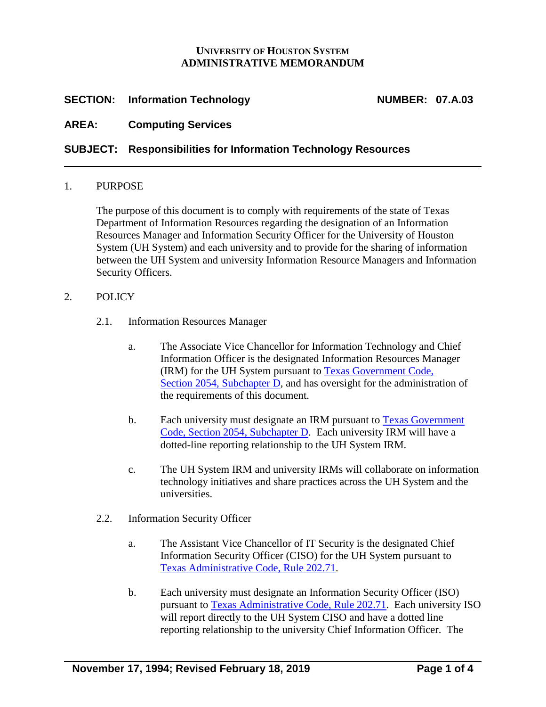### **UNIVERSITY OF HOUSTON SYSTEM ADMINISTRATIVE MEMORANDUM**

# **SECTION:** Information Technology **NUMBER:** 07.A.03

# **AREA: Computing Services**

# **SUBJECT: Responsibilities for Information Technology Resources**

#### 1. PURPOSE

The purpose of this document is to comply with requirements of the state of Texas Department of Information Resources regarding the designation of an Information Resources Manager and Information Security Officer for the University of Houston System (UH System) and each university and to provide for the sharing of information between the UH System and university Information Resource Managers and Information Security Officers.

#### 2. POLICY

- 2.1. Information Resources Manager
	- a. The Associate Vice Chancellor for Information Technology and Chief Information Officer is the designated Information Resources Manager (IRM) for the UH System pursuant to [Texas Government Code,](https://statutes.capitol.texas.gov/Docs/GV/htm/GV.2054.htm#2054.071)  Section [2054, Subchapter D,](https://statutes.capitol.texas.gov/Docs/GV/htm/GV.2054.htm#2054.071) and has oversight for the administration of the requirements of this document.
	- b. Each university must designate an IRM pursuant to [Texas Government](https://statutes.capitol.texas.gov/Docs/GV/htm/GV.2054.htm#2054.071)  Code, Section [2054, Subchapter D.](https://statutes.capitol.texas.gov/Docs/GV/htm/GV.2054.htm#2054.071) Each university IRM will have a dotted-line reporting relationship to the UH System IRM.
	- c. The UH System IRM and university IRMs will collaborate on information technology initiatives and share practices across the UH System and the universities.
- 2.2. Information Security Officer
	- a. The Assistant Vice Chancellor of IT Security is the designated Chief Information Security Officer (CISO) for the UH System pursuant to [Texas Administrative Code, Rule 202.71.](https://texreg.sos.state.tx.us/public/readtac$ext.TacPage?sl=R&app=9&p_dir=&p_rloc=&p_tloc=&p_ploc=&pg=1&p_tac=&ti=1&pt=10&ch=202&rl=71)
	- b. Each university must designate an Information Security Officer (ISO) pursuant to [Texas Administrative Code, Rule 202.71.](https://texreg.sos.state.tx.us/public/readtac$ext.TacPage?sl=R&app=9&p_dir=&p_rloc=&p_tloc=&p_ploc=&pg=1&p_tac=&ti=1&pt=10&ch=202&rl=71) Each university ISO will report directly to the UH System CISO and have a dotted line reporting relationship to the university Chief Information Officer. The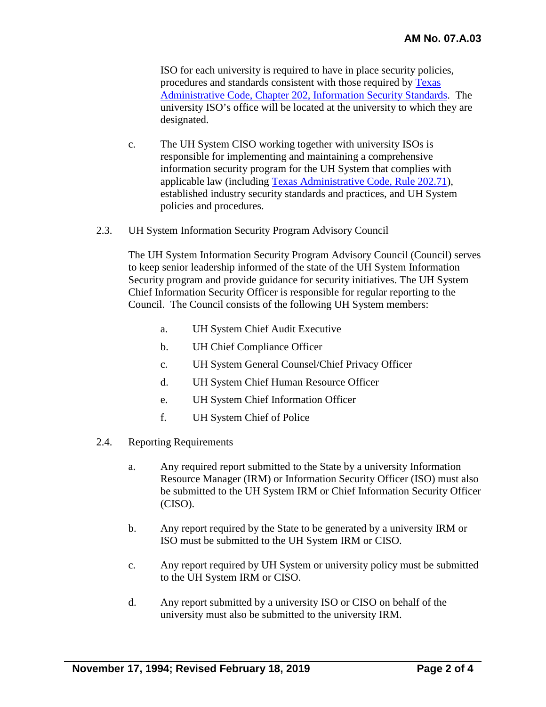ISO for each university is required to have in place security policies, procedures and standards consistent with those required by [Texas](https://texreg.sos.state.tx.us/public/readtac$ext.ViewTAC?tac_view=4&ti=1&pt=10&ch=202)  [Administrative Code, Chapter 202, Information Security Standards.](https://texreg.sos.state.tx.us/public/readtac$ext.ViewTAC?tac_view=4&ti=1&pt=10&ch=202) The university ISO's office will be located at the university to which they are designated.

- c. The UH System CISO working together with university ISOs is responsible for implementing and maintaining a comprehensive information security program for the UH System that complies with applicable law (including [Texas Administrative Code, Rule](https://texreg.sos.state.tx.us/public/readtac$ext.TacPage?sl=R&app=9&p_dir=&p_rloc=&p_tloc=&p_ploc=&pg=1&p_tac=&ti=1&pt=10&ch=202&rl=71) 202.71), established industry security standards and practices, and UH System policies and procedures.
- 2.3. UH System Information Security Program Advisory Council

The UH System Information Security Program Advisory Council (Council) serves to keep senior leadership informed of the state of the UH System Information Security program and provide guidance for security initiatives. The UH System Chief Information Security Officer is responsible for regular reporting to the Council. The Council consists of the following UH System members:

- a. UH System Chief Audit Executive
- b. UH Chief Compliance Officer
- c. UH System General Counsel/Chief Privacy Officer
- d. UH System Chief Human Resource Officer
- e. UH System Chief Information Officer
- f. UH System Chief of Police
- 2.4. Reporting Requirements
	- a. Any required report submitted to the State by a university Information Resource Manager (IRM) or Information Security Officer (ISO) must also be submitted to the UH System IRM or Chief Information Security Officer (CISO).
	- b. Any report required by the State to be generated by a university IRM or ISO must be submitted to the UH System IRM or CISO.
	- c. Any report required by UH System or university policy must be submitted to the UH System IRM or CISO.
	- d. Any report submitted by a university ISO or CISO on behalf of the university must also be submitted to the university IRM.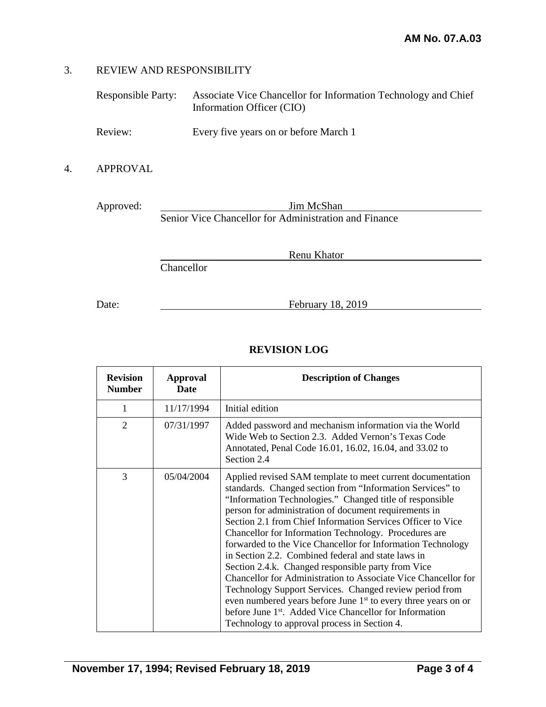### 3. REVIEW AND RESPONSIBILITY

| Responsible Party: | Associate Vice Chancellor for Information Technology and Chief |
|--------------------|----------------------------------------------------------------|
|                    | Information Officer (CIO)                                      |

Review: Every five years on or before March 1

### 4. APPROVAL

Approved: <u>Jim McShan</u> Senior Vice Chancellor for Administration and Finance

**Chancellor** 

Date: Eebruary 18, 2019

Renu Khator

# **REVISION LOG**

| <b>Revision</b><br><b>Number</b> | <b>Approval</b><br>Date | <b>Description of Changes</b>                                                                                                                                                                                                                                                                                                                                                                                                                                                                                                                                                                                                                                                                                                                                                                                                                                                     |
|----------------------------------|-------------------------|-----------------------------------------------------------------------------------------------------------------------------------------------------------------------------------------------------------------------------------------------------------------------------------------------------------------------------------------------------------------------------------------------------------------------------------------------------------------------------------------------------------------------------------------------------------------------------------------------------------------------------------------------------------------------------------------------------------------------------------------------------------------------------------------------------------------------------------------------------------------------------------|
| 1                                | 11/17/1994              | Initial edition                                                                                                                                                                                                                                                                                                                                                                                                                                                                                                                                                                                                                                                                                                                                                                                                                                                                   |
| $\overline{2}$                   | 07/31/1997              | Added password and mechanism information via the World<br>Wide Web to Section 2.3. Added Vernon's Texas Code<br>Annotated, Penal Code 16.01, 16.02, 16.04, and 33.02 to<br>Section 2.4                                                                                                                                                                                                                                                                                                                                                                                                                                                                                                                                                                                                                                                                                            |
| 3                                | 05/04/2004              | Applied revised SAM template to meet current documentation<br>standards. Changed section from "Information Services" to<br>"Information Technologies." Changed title of responsible<br>person for administration of document requirements in<br>Section 2.1 from Chief Information Services Officer to Vice<br>Chancellor for Information Technology. Procedures are<br>forwarded to the Vice Chancellor for Information Technology<br>in Section 2.2. Combined federal and state laws in<br>Section 2.4.k. Changed responsible party from Vice<br>Chancellor for Administration to Associate Vice Chancellor for<br>Technology Support Services. Changed review period from<br>even numbered years before June 1 <sup>st</sup> to every three years on or<br>before June 1 <sup>st</sup> . Added Vice Chancellor for Information<br>Technology to approval process in Section 4. |